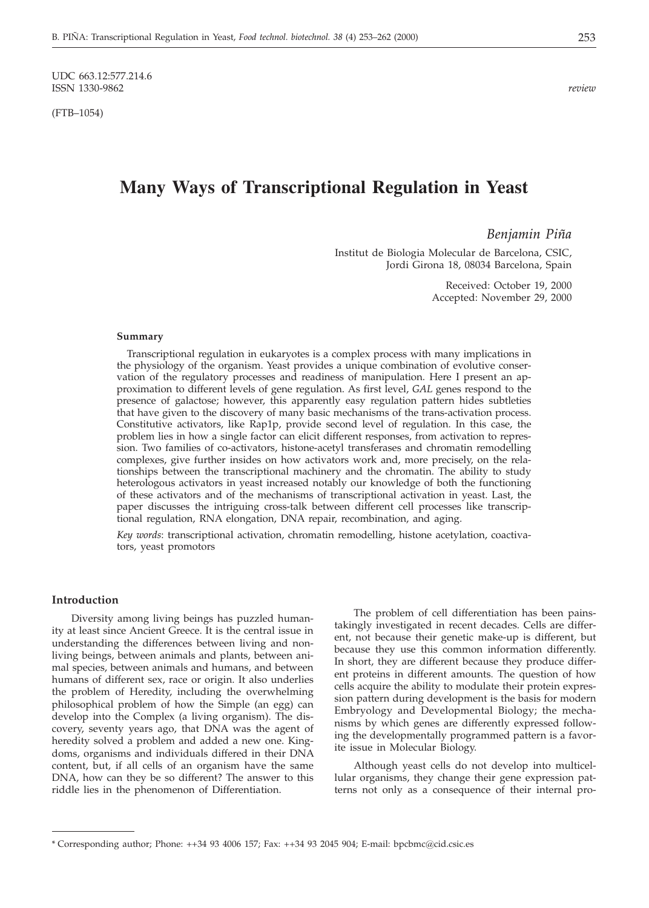UDC 663.12:577.214.6<br>ISSN 1330-9862 ISSN 1330-9862 *review*

(FTB–1054)

# **Many Ways of Transcriptional Regulation in Yeast**

# *Benjamin Piña*

Institut de Biologia Molecular de Barcelona, CSIC, Jordi Girona 18, 08034 Barcelona, Spain

> Received: October 19, 2000 Accepted: November 29, 2000

#### **Summary**

Transcriptional regulation in eukaryotes is a complex process with many implications in the physiology of the organism. Yeast provides a unique combination of evolutive conservation of the regulatory processes and readiness of manipulation. Here I present an approximation to different levels of gene regulation. As first level, *GAL* genes respond to the presence of galactose; however, this apparently easy regulation pattern hides subtleties that have given to the discovery of many basic mechanisms of the trans-activation process. Constitutive activators, like Rap1p, provide second level of regulation. In this case, the problem lies in how a single factor can elicit different responses, from activation to repression. Two families of co-activators, histone-acetyl transferases and chromatin remodelling complexes, give further insides on how activators work and, more precisely, on the relationships between the transcriptional machinery and the chromatin. The ability to study heterologous activators in yeast increased notably our knowledge of both the functioning of these activators and of the mechanisms of transcriptional activation in yeast. Last, the paper discusses the intriguing cross-talk between different cell processes like transcriptional regulation, RNA elongation, DNA repair, recombination, and aging.

*Key words*: transcriptional activation, chromatin remodelling, histone acetylation, coactivators, yeast promotors

## **Introduction**

Diversity among living beings has puzzled humanity at least since Ancient Greece. It is the central issue in understanding the differences between living and nonliving beings, between animals and plants, between animal species, between animals and humans, and between humans of different sex, race or origin. It also underlies the problem of Heredity, including the overwhelming philosophical problem of how the Simple (an egg) can develop into the Complex (a living organism). The discovery, seventy years ago, that DNA was the agent of heredity solved a problem and added a new one. Kingdoms, organisms and individuals differed in their DNA content, but, if all cells of an organism have the same DNA, how can they be so different? The answer to this riddle lies in the phenomenon of Differentiation.

The problem of cell differentiation has been painstakingly investigated in recent decades. Cells are different, not because their genetic make-up is different, but because they use this common information differently. In short, they are different because they produce different proteins in different amounts. The question of how cells acquire the ability to modulate their protein expression pattern during development is the basis for modern Embryology and Developmental Biology; the mechanisms by which genes are differently expressed following the developmentally programmed pattern is a favorite issue in Molecular Biology.

Although yeast cells do not develop into multicellular organisms, they change their gene expression patterns not only as a consequence of their internal pro-

<sup>\*</sup> Corresponding author; Phone: ++34 93 4006 157; Fax: ++34 93 2045 904; E-mail: bpcbmc*@*cid.csic.es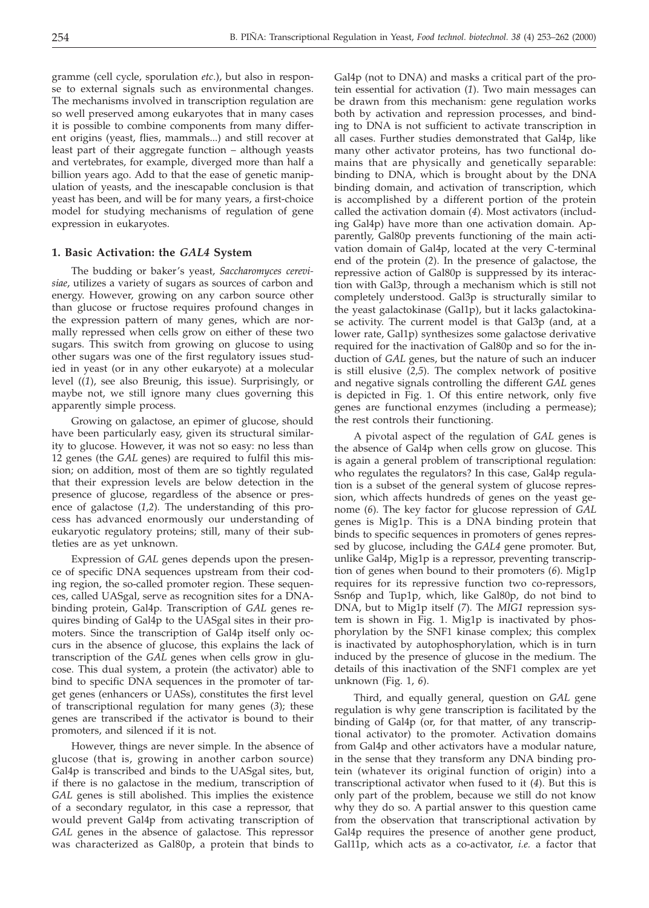gramme (cell cycle, sporulation *etc*.), but also in response to external signals such as environmental changes. The mechanisms involved in transcription regulation are so well preserved among eukaryotes that in many cases it is possible to combine components from many different origins (yeast, flies, mammals...) and still recover at least part of their aggregate function – although yeasts and vertebrates, for example, diverged more than half a billion years ago. Add to that the ease of genetic manipulation of yeasts, and the inescapable conclusion is that yeast has been, and will be for many years, a first-choice model for studying mechanisms of regulation of gene expression in eukaryotes.

## **1. Basic Activation: the** *GAL4* **System**

The budding or baker's yeast, *Saccharomyces cerevisiae*, utilizes a variety of sugars as sources of carbon and energy. However, growing on any carbon source other than glucose or fructose requires profound changes in the expression pattern of many genes, which are normally repressed when cells grow on either of these two sugars. This switch from growing on glucose to using other sugars was one of the first regulatory issues studied in yeast (or in any other eukaryote) at a molecular level ((*1*), see also Breunig, this issue). Surprisingly, or maybe not, we still ignore many clues governing this apparently simple process.

Growing on galactose, an epimer of glucose, should have been particularly easy, given its structural similarity to glucose. However, it was not so easy: no less than 12 genes (the *GAL* genes) are required to fulfil this mission; on addition, most of them are so tightly regulated that their expression levels are below detection in the presence of glucose, regardless of the absence or presence of galactose (*1,2*)*.* The understanding of this process has advanced enormously our understanding of eukaryotic regulatory proteins; still, many of their subtleties are as yet unknown.

Expression of *GAL* genes depends upon the presence of specific DNA sequences upstream from their coding region, the so-called promoter region. These sequences, called UASgal, serve as recognition sites for a DNAbinding protein, Gal4p. Transcription of *GAL* genes requires binding of Gal4p to the UASgal sites in their promoters. Since the transcription of Gal4p itself only occurs in the absence of glucose, this explains the lack of transcription of the *GAL* genes when cells grow in glucose. This dual system, a protein (the activator) able to bind to specific DNA sequences in the promoter of target genes (enhancers or UASs), constitutes the first level of transcriptional regulation for many genes (*3*); these genes are transcribed if the activator is bound to their promoters, and silenced if it is not.

However, things are never simple. In the absence of glucose (that is, growing in another carbon source) Gal4p is transcribed and binds to the UASgal sites, but, if there is no galactose in the medium, transcription of *GAL* genes is still abolished. This implies the existence of a secondary regulator, in this case a repressor, that would prevent Gal4p from activating transcription of *GAL* genes in the absence of galactose. This repressor was characterized as Gal80p, a protein that binds to

Gal4p (not to DNA) and masks a critical part of the protein essential for activation (*1*). Two main messages can be drawn from this mechanism: gene regulation works both by activation and repression processes, and binding to DNA is not sufficient to activate transcription in all cases. Further studies demonstrated that Gal4p, like many other activator proteins, has two functional domains that are physically and genetically separable: binding to DNA, which is brought about by the DNA binding domain, and activation of transcription, which is accomplished by a different portion of the protein called the activation domain (*4*). Most activators (including Gal4p) have more than one activation domain. Apparently, Gal80p prevents functioning of the main activation domain of Gal4p, located at the very C-terminal end of the protein (*2*). In the presence of galactose, the repressive action of Gal80p is suppressed by its interaction with Gal3p, through a mechanism which is still not completely understood. Gal3p is structurally similar to the yeast galactokinase (Gal1p), but it lacks galactokinase activity. The current model is that Gal3p (and, at a lower rate, Gal1p) synthesizes some galactose derivative required for the inactivation of Gal80p and so for the induction of *GAL* genes, but the nature of such an inducer is still elusive (*2,5*). The complex network of positive and negative signals controlling the different *GAL* genes is depicted in Fig. 1. Of this entire network, only five genes are functional enzymes (including a permease); the rest controls their functioning.

A pivotal aspect of the regulation of *GAL* genes is the absence of Gal4p when cells grow on glucose. This is again a general problem of transcriptional regulation: who regulates the regulators? In this case, Gal4p regulation is a subset of the general system of glucose repression, which affects hundreds of genes on the yeast genome (*6*). The key factor for glucose repression of *GAL* genes is Mig1p. This is a DNA binding protein that binds to specific sequences in promoters of genes repressed by glucose, including the *GAL4* gene promoter. But, unlike Gal4p, Mig1p is a repressor, preventing transcription of genes when bound to their promoters (*6*). Mig1p requires for its repressive function two co-repressors, Ssn6p and Tup1p, which, like Gal80p, do not bind to DNA, but to Mig1p itself (*7*). The *MIG1* repression system is shown in Fig. 1. Mig1p is inactivated by phosphorylation by the SNF1 kinase complex; this complex is inactivated by autophosphorylation, which is in turn induced by the presence of glucose in the medium. The details of this inactivation of the SNF1 complex are yet unknown (Fig. 1, *6*).

Third, and equally general, question on *GAL* gene regulation is why gene transcription is facilitated by the binding of Gal4p (or, for that matter, of any transcriptional activator) to the promoter. Activation domains from Gal4p and other activators have a modular nature, in the sense that they transform any DNA binding protein (whatever its original function of origin) into a transcriptional activator when fused to it (*4*). But this is only part of the problem, because we still do not know why they do so. A partial answer to this question came from the observation that transcriptional activation by Gal4p requires the presence of another gene product, Gal11p, which acts as a co-activator, *i.e.* a factor that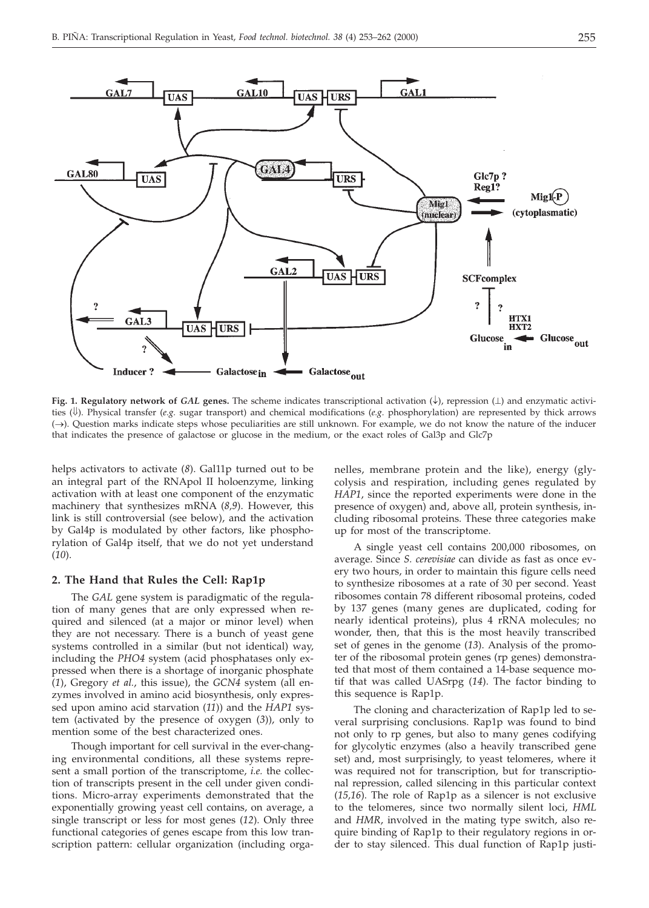

Fig. 1. Regulatory network of GAL genes. The scheme indicates transcriptional activation  $(\downarrow)$ , repression  $(\perp)$  and enzymatic activities ( $\downarrow$ ). Physical transfer (*e.g.* sugar transport) and chemical modifications (*e.g.* phosphorylation) are represented by thick arrows  $(\rightarrow)$ . Question marks indicate steps whose peculiarities are still unknown. For example, we do not know the nature of the inducer that indicates the presence of galactose or glucose in the medium, or the exact roles of Gal3p and Glc7p

helps activators to activate (*8*). Gal11p turned out to be an integral part of the RNApol II holoenzyme, linking activation with at least one component of the enzymatic machinery that synthesizes mRNA (*8,9*). However, this link is still controversial (see below), and the activation by Gal4p is modulated by other factors, like phosphorylation of Gal4p itself, that we do not yet understand (*10*).

#### **2. The Hand that Rules the Cell: Rap1p**

The *GAL* gene system is paradigmatic of the regulation of many genes that are only expressed when required and silenced (at a major or minor level) when they are not necessary. There is a bunch of yeast gene systems controlled in a similar (but not identical) way, including the *PHO4* system (acid phosphatases only expressed when there is a shortage of inorganic phosphate (*1*), Gregory *et al.*, this issue), the *GCN4* system (all enzymes involved in amino acid biosynthesis, only expressed upon amino acid starvation (*11*)) and the *HAP1* system (activated by the presence of oxygen (*3*)), only to mention some of the best characterized ones.

Though important for cell survival in the ever-changing environmental conditions, all these systems represent a small portion of the transcriptome, *i.e.* the collection of transcripts present in the cell under given conditions. Micro-array experiments demonstrated that the exponentially growing yeast cell contains, on average, a single transcript or less for most genes (*12*). Only three functional categories of genes escape from this low transcription pattern: cellular organization (including organelles, membrane protein and the like), energy (glycolysis and respiration, including genes regulated by *HAP1*, since the reported experiments were done in the presence of oxygen) and, above all, protein synthesis, including ribosomal proteins. These three categories make up for most of the transcriptome.

A single yeast cell contains 200,000 ribosomes, on average. Since *S. cerevisiae* can divide as fast as once every two hours, in order to maintain this figure cells need to synthesize ribosomes at a rate of 30 per second. Yeast ribosomes contain 78 different ribosomal proteins, coded by 137 genes (many genes are duplicated, coding for nearly identical proteins), plus 4 rRNA molecules; no wonder, then, that this is the most heavily transcribed set of genes in the genome (*13*). Analysis of the promoter of the ribosomal protein genes (rp genes) demonstrated that most of them contained a 14-base sequence motif that was called UASrpg (*14*). The factor binding to this sequence is Rap1p.

The cloning and characterization of Rap1p led to several surprising conclusions. Rap1p was found to bind not only to rp genes, but also to many genes codifying for glycolytic enzymes (also a heavily transcribed gene set) and, most surprisingly, to yeast telomeres, where it was required not for transcription, but for transcriptional repression, called silencing in this particular context (*15,16*). The role of Rap1p as a silencer is not exclusive to the telomeres, since two normally silent loci, *HML* and *HMR*, involved in the mating type switch, also require binding of Rap1p to their regulatory regions in order to stay silenced. This dual function of Rap1p justi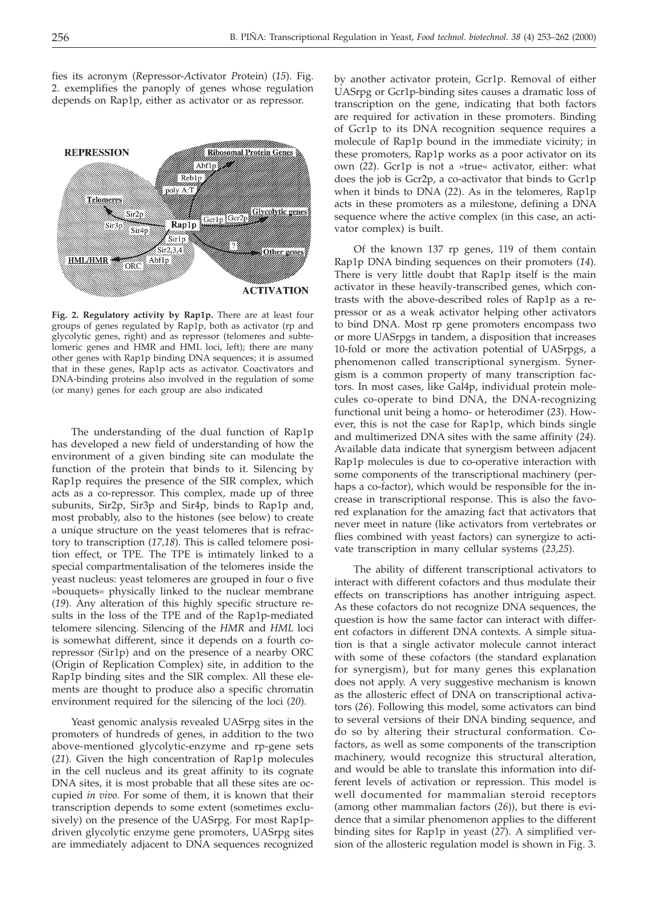fies its acronym (*R*epressor-*A*ctivator *P*rotein) (*15*). Fig. 2. exemplifies the panoply of genes whose regulation depends on Rap1p, either as activator or as repressor.



**Fig. 2. Regulatory activity by Rap1p.** There are at least four groups of genes regulated by Rap1p, both as activator (rp and glycolytic genes, right) and as repressor (telomeres and subtelomeric genes and HMR and HML loci, left); there are many other genes with Rap1p binding DNA sequences; it is assumed that in these genes, Rap1p acts as activator. Coactivators and DNA-binding proteins also involved in the regulation of some (or many) genes for each group are also indicated

The understanding of the dual function of Rap1p has developed a new field of understanding of how the environment of a given binding site can modulate the function of the protein that binds to it. Silencing by Rap1p requires the presence of the SIR complex, which acts as a co-repressor. This complex, made up of three subunits, Sir2p, Sir3p and Sir4p, binds to Rap1p and, most probably, also to the histones (see below) to create a unique structure on the yeast telomeres that is refractory to transcription (*17,18*). This is called telomere position effect, or TPE. The TPE is intimately linked to a special compartmentalisation of the telomeres inside the yeast nucleus: yeast telomeres are grouped in four o five »bouquets« physically linked to the nuclear membrane (*19*). Any alteration of this highly specific structure results in the loss of the TPE and of the Rap1p-mediated telomere silencing. Silencing of the *HMR* and *HML* loci is somewhat different, since it depends on a fourth corepressor (Sir1p) and on the presence of a nearby ORC (Origin of Replication Complex) site, in addition to the Rap1p binding sites and the SIR complex. All these elements are thought to produce also a specific chromatin environment required for the silencing of the loci (*20*).

Yeast genomic analysis revealed UASrpg sites in the promoters of hundreds of genes, in addition to the two above-mentioned glycolytic-enzyme and rp-gene sets (*21*). Given the high concentration of Rap1p molecules in the cell nucleus and its great affinity to its cognate DNA sites, it is most probable that all these sites are occupied *in vivo*. For some of them, it is known that their transcription depends to some extent (sometimes exclusively) on the presence of the UASrpg. For most Rap1pdriven glycolytic enzyme gene promoters, UASrpg sites are immediately adjacent to DNA sequences recognized by another activator protein, Gcr1p. Removal of either UASrpg or Gcr1p-binding sites causes a dramatic loss of transcription on the gene, indicating that both factors are required for activation in these promoters. Binding of Gcr1p to its DNA recognition sequence requires a molecule of Rap1p bound in the immediate vicinity; in these promoters, Rap1p works as a poor activator on its own (*22*). Gcr1p is not a »true« activator, either: what does the job is Gcr2p, a co-activator that binds to Gcr1p when it binds to DNA (*22*). As in the telomeres, Rap1p acts in these promoters as a milestone, defining a DNA sequence where the active complex (in this case, an activator complex) is built.

Of the known 137 rp genes, 119 of them contain Rap1p DNA binding sequences on their promoters (*14*). There is very little doubt that Rap1p itself is the main activator in these heavily-transcribed genes, which contrasts with the above-described roles of Rap1p as a repressor or as a weak activator helping other activators to bind DNA. Most rp gene promoters encompass two or more UASrpgs in tandem, a disposition that increases 10-fold or more the activation potential of UASrpgs, a phenomenon called transcriptional synergism. Synergism is a common property of many transcription factors. In most cases, like Gal4p, individual protein molecules co-operate to bind DNA, the DNA-recognizing functional unit being a homo- or heterodimer (*23*). However, this is not the case for Rap1p, which binds single and multimerized DNA sites with the same affinity (*24*). Available data indicate that synergism between adjacent Rap1p molecules is due to co-operative interaction with some components of the transcriptional machinery (perhaps a co-factor), which would be responsible for the increase in transcriptional response. This is also the favored explanation for the amazing fact that activators that never meet in nature (like activators from vertebrates or flies combined with yeast factors) can synergize to activate transcription in many cellular systems (*23,25*).

The ability of different transcriptional activators to interact with different cofactors and thus modulate their effects on transcriptions has another intriguing aspect. As these cofactors do not recognize DNA sequences, the question is how the same factor can interact with different cofactors in different DNA contexts. A simple situation is that a single activator molecule cannot interact with some of these cofactors (the standard explanation for synergism), but for many genes this explanation does not apply. A very suggestive mechanism is known as the allosteric effect of DNA on transcriptional activators (*26*). Following this model, some activators can bind to several versions of their DNA binding sequence, and do so by altering their structural conformation. Cofactors, as well as some components of the transcription machinery, would recognize this structural alteration, and would be able to translate this information into different levels of activation or repression. This model is well documented for mammalian steroid receptors (among other mammalian factors (*26*)), but there is evidence that a similar phenomenon applies to the different binding sites for Rap1p in yeast (*27*). A simplified version of the allosteric regulation model is shown in Fig. 3.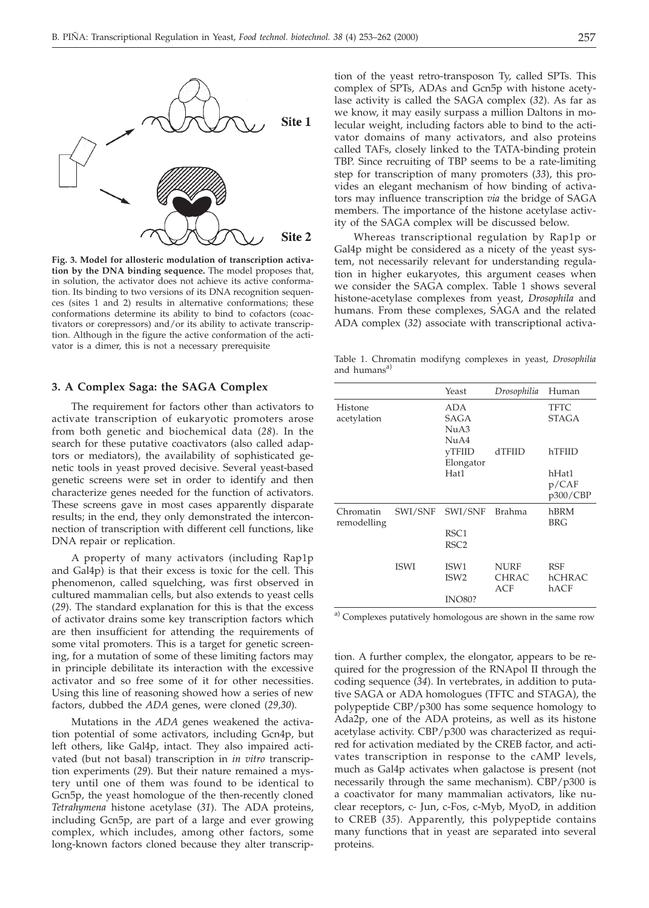

**Fig. 3. Model for allosteric modulation of transcription activation by the DNA binding sequence.** The model proposes that, in solution, the activator does not achieve its active conformation. Its binding to two versions of its DNA recognition sequences (sites 1 and 2) results in alternative conformations; these conformations determine its ability to bind to cofactors (coactivators or corepressors) and/or its ability to activate transcription. Although in the figure the active conformation of the activator is a dimer, this is not a necessary prerequisite

## **3. A Complex Saga: the SAGA Complex**

The requirement for factors other than activators to activate transcription of eukaryotic promoters arose from both genetic and biochemical data (*28*). In the search for these putative coactivators (also called adaptors or mediators), the availability of sophisticated genetic tools in yeast proved decisive. Several yeast-based genetic screens were set in order to identify and then characterize genes needed for the function of activators. These screens gave in most cases apparently disparate results; in the end, they only demonstrated the interconnection of transcription with different cell functions, like DNA repair or replication.

A property of many activators (including Rap1p and Gal4p) is that their excess is toxic for the cell. This phenomenon, called squelching, was first observed in cultured mammalian cells, but also extends to yeast cells (*29*). The standard explanation for this is that the excess of activator drains some key transcription factors which are then insufficient for attending the requirements of some vital promoters. This is a target for genetic screening, for a mutation of some of these limiting factors may in principle debilitate its interaction with the excessive activator and so free some of it for other necessities. Using this line of reasoning showed how a series of new factors, dubbed the *ADA* genes, were cloned (*29,30*).

Mutations in the *ADA* genes weakened the activation potential of some activators, including Gcn4p, but left others, like Gal4p, intact. They also impaired activated (but not basal) transcription in *in vitro* transcription experiments (*29*). But their nature remained a mystery until one of them was found to be identical to Gcn5p, the yeast homologue of the then-recently cloned *Tetrahymena* histone acetylase (*31*). The ADA proteins, including Gcn5p, are part of a large and ever growing complex, which includes, among other factors, some long-known factors cloned because they alter transcription of the yeast retro-transposon Ty, called SPTs. This complex of SPTs, ADAs and Gcn5p with histone acetylase activity is called the SAGA complex (*32*). As far as we know, it may easily surpass a million Daltons in molecular weight, including factors able to bind to the activator domains of many activators, and also proteins called TAFs, closely linked to the TATA-binding protein TBP. Since recruiting of TBP seems to be a rate-limiting step for transcription of many promoters (*33*), this provides an elegant mechanism of how binding of activators may influence transcription *via* the bridge of SAGA members. The importance of the histone acetylase activity of the SAGA complex will be discussed below.

Whereas transcriptional regulation by Rap1p or Gal4p might be considered as a nicety of the yeast system, not necessarily relevant for understanding regulation in higher eukaryotes, this argument ceases when we consider the SAGA complex. Table 1 shows several histone-acetylase complexes from yeast, *Drosophila* and humans. From these complexes, SAGA and the related ADA complex (*32*) associate with transcriptional activa-

Table 1. Chromatin modifyng complexes in yeast, *Drosophilia* and humans<sup>a</sup>

|                          |             | Yeast                                | Drosophilia                        | Human                        |
|--------------------------|-------------|--------------------------------------|------------------------------------|------------------------------|
| Histone<br>acetylation   |             | <b>ADA</b><br><b>SAGA</b><br>NuA3    |                                    | TFTC<br><b>STAGA</b>         |
|                          |             | NuA4<br><b>vTFIID</b><br>Elongator   | dTFIID                             | hTFIID                       |
|                          |             | Hat1                                 |                                    | hHat1<br>p/CAF<br>p300/CBP   |
| Chromatin<br>remodelling | SWI/SNF     | SWI/SNF                              | Brahma                             | hBRM<br><b>BRG</b>           |
|                          |             | RSC <sub>1</sub><br>RSC <sub>2</sub> |                                    |                              |
|                          | <b>ISWI</b> | ISW1<br>ISW <sub>2</sub>             | <b>NURF</b><br><b>CHRAC</b><br>ACF | <b>RSF</b><br>hCHRAC<br>hACF |
|                          |             | <b>INO80?</b>                        |                                    |                              |

<sup>a)</sup> Complexes putatively homologous are shown in the same row

tion. A further complex, the elongator, appears to be required for the progression of the RNApol II through the coding sequence (*34*). In vertebrates, in addition to putative SAGA or ADA homologues (TFTC and STAGA), the polypeptide CBP/p300 has some sequence homology to Ada2p, one of the ADA proteins, as well as its histone acetylase activity. CBP/p300 was characterized as required for activation mediated by the CREB factor, and activates transcription in response to the cAMP levels, much as Gal4p activates when galactose is present (not necessarily through the same mechanism). CBP/p300 is a coactivator for many mammalian activators, like nuclear receptors, c- Jun, c-Fos, c-Myb, MyoD, in addition to CREB (*35*). Apparently, this polypeptide contains many functions that in yeast are separated into several proteins.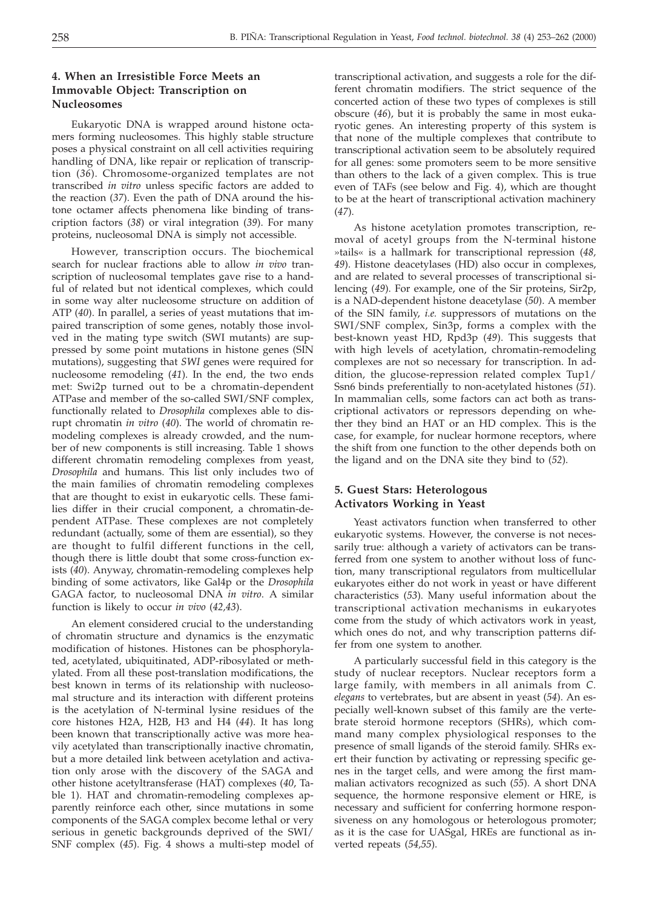# **4. When an Irresistible Force Meets an Immovable Object: Transcription on Nucleosomes**

Eukaryotic DNA is wrapped around histone octamers forming nucleosomes. This highly stable structure poses a physical constraint on all cell activities requiring handling of DNA, like repair or replication of transcription (*36*). Chromosome-organized templates are not transcribed *in vitro* unless specific factors are added to the reaction (*37*). Even the path of DNA around the histone octamer affects phenomena like binding of transcription factors (*38*) or viral integration (*39*). For many proteins, nucleosomal DNA is simply not accessible.

However, transcription occurs. The biochemical search for nuclear fractions able to allow *in vivo* transcription of nucleosomal templates gave rise to a handful of related but not identical complexes, which could in some way alter nucleosome structure on addition of ATP (*40*). In parallel, a series of yeast mutations that impaired transcription of some genes, notably those involved in the mating type switch (SWI mutants) are suppressed by some point mutations in histone genes (SIN mutations), suggesting that *SWI* genes were required for nucleosome remodeling (*41*). In the end, the two ends met: Swi2p turned out to be a chromatin-dependent ATPase and member of the so-called SWI/SNF complex, functionally related to *Drosophila* complexes able to disrupt chromatin *in vitro* (*40*). The world of chromatin remodeling complexes is already crowded, and the number of new components is still increasing. Table 1 shows different chromatin remodeling complexes from yeast, *Drosophila* and humans. This list only includes two of the main families of chromatin remodeling complexes that are thought to exist in eukaryotic cells. These families differ in their crucial component, a chromatin-dependent ATPase. These complexes are not completely redundant (actually, some of them are essential), so they are thought to fulfil different functions in the cell, though there is little doubt that some cross-function exists (*40*). Anyway, chromatin-remodeling complexes help binding of some activators, like Gal4p or the *Drosophila* GAGA factor, to nucleosomal DNA *in vitro*. A similar function is likely to occur *in vivo* (*42,43*).

An element considered crucial to the understanding of chromatin structure and dynamics is the enzymatic modification of histones. Histones can be phosphorylated, acetylated, ubiquitinated, ADP-ribosylated or methylated. From all these post-translation modifications, the best known in terms of its relationship with nucleosomal structure and its interaction with different proteins is the acetylation of N-terminal lysine residues of the core histones H2A, H2B, H3 and H4 (*44*). It has long been known that transcriptionally active was more heavily acetylated than transcriptionally inactive chromatin, but a more detailed link between acetylation and activation only arose with the discovery of the SAGA and other histone acetyltransferase (HAT) complexes (*40*, Table 1). HAT and chromatin-remodeling complexes apparently reinforce each other, since mutations in some components of the SAGA complex become lethal or very serious in genetic backgrounds deprived of the SWI/ SNF complex (*45*). Fig. 4 shows a multi-step model of

transcriptional activation, and suggests a role for the different chromatin modifiers. The strict sequence of the concerted action of these two types of complexes is still obscure (*46*), but it is probably the same in most eukaryotic genes. An interesting property of this system is that none of the multiple complexes that contribute to transcriptional activation seem to be absolutely required for all genes: some promoters seem to be more sensitive than others to the lack of a given complex. This is true even of TAFs (see below and Fig. 4), which are thought to be at the heart of transcriptional activation machinery (*47*).

As histone acetylation promotes transcription, removal of acetyl groups from the N-terminal histone »tails« is a hallmark for transcriptional repression (*48, 49*). Histone deacetylases (HD) also occur in complexes, and are related to several processes of transcriptional silencing (*49*). For example, one of the Sir proteins, Sir2p, is a NAD-dependent histone deacetylase (*50*). A member of the SIN family, *i.e.* suppressors of mutations on the SWI/SNF complex, Sin3p, forms a complex with the best-known yeast HD, Rpd3p (*49*). This suggests that with high levels of acetylation, chromatin-remodeling complexes are not so necessary for transcription. In addition, the glucose-repression related complex Tup1/ Ssn6 binds preferentially to non-acetylated histones (*51*). In mammalian cells, some factors can act both as transcriptional activators or repressors depending on whether they bind an HAT or an HD complex. This is the case, for example, for nuclear hormone receptors, where the shift from one function to the other depends both on the ligand and on the DNA site they bind to (*52*).

# **5. Guest Stars: Heterologous Activators Working in Yeast**

Yeast activators function when transferred to other eukaryotic systems. However, the converse is not necessarily true: although a variety of activators can be transferred from one system to another without loss of function, many transcriptional regulators from multicellular eukaryotes either do not work in yeast or have different characteristics (*53*). Many useful information about the transcriptional activation mechanisms in eukaryotes come from the study of which activators work in yeast, which ones do not, and why transcription patterns differ from one system to another.

A particularly successful field in this category is the study of nuclear receptors. Nuclear receptors form a large family, with members in all animals from *C. elegans* to vertebrates, but are absent in yeast (*54*). An especially well-known subset of this family are the vertebrate steroid hormone receptors (SHRs), which command many complex physiological responses to the presence of small ligands of the steroid family. SHRs exert their function by activating or repressing specific genes in the target cells, and were among the first mammalian activators recognized as such (*55*). A short DNA sequence, the hormone responsive element or HRE, is necessary and sufficient for conferring hormone responsiveness on any homologous or heterologous promoter; as it is the case for UASgal, HREs are functional as inverted repeats (*54,55*).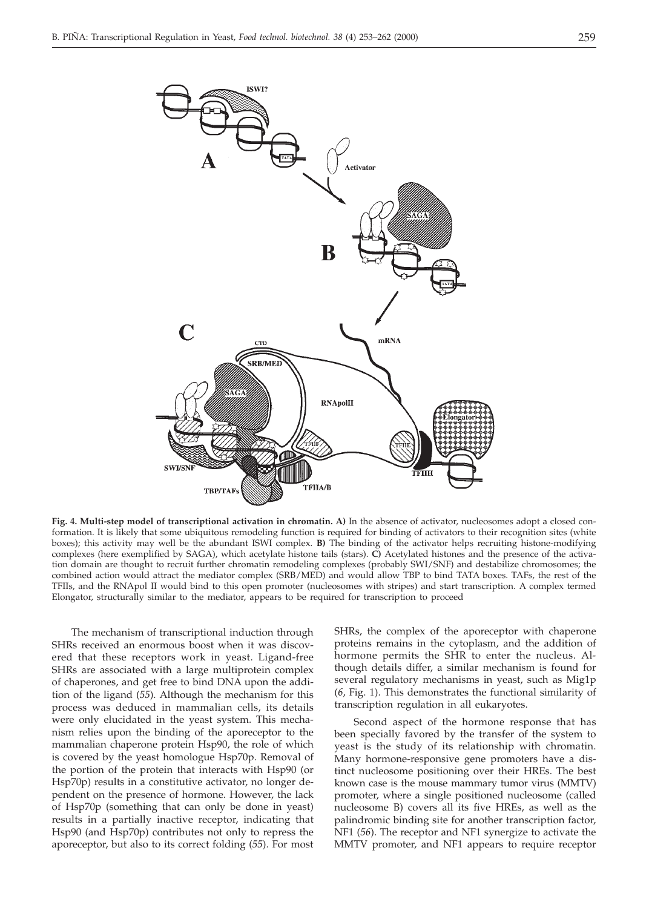

**Fig. 4. Multi-step model of transcriptional activation in chromatin. A)** In the absence of activator, nucleosomes adopt a closed conformation. It is likely that some ubiquitous remodeling function is required for binding of activators to their recognition sites (white boxes); this activity may well be the abundant ISWI complex. **B)** The binding of the activator helps recruiting histone-modifying complexes (here exemplified by SAGA), which acetylate histone tails (stars). **C)** Acetylated histones and the presence of the activation domain are thought to recruit further chromatin remodeling complexes (probably SWI/SNF) and destabilize chromosomes; the combined action would attract the mediator complex (SRB/MED) and would allow TBP to bind TATA boxes. TAFs, the rest of the TFIIs, and the RNApol II would bind to this open promoter (nucleosomes with stripes) and start transcription. A complex termed Elongator, structurally similar to the mediator, appears to be required for transcription to proceed

The mechanism of transcriptional induction through SHRs received an enormous boost when it was discovered that these receptors work in yeast. Ligand-free SHRs are associated with a large multiprotein complex of chaperones, and get free to bind DNA upon the addition of the ligand (*55*). Although the mechanism for this process was deduced in mammalian cells, its details were only elucidated in the yeast system. This mechanism relies upon the binding of the aporeceptor to the mammalian chaperone protein Hsp90, the role of which is covered by the yeast homologue Hsp70p. Removal of the portion of the protein that interacts with Hsp90 (or Hsp70p) results in a constitutive activator, no longer dependent on the presence of hormone. However, the lack of Hsp70p (something that can only be done in yeast) results in a partially inactive receptor, indicating that Hsp90 (and Hsp70p) contributes not only to repress the aporeceptor, but also to its correct folding (*55*). For most

SHRs, the complex of the aporeceptor with chaperone proteins remains in the cytoplasm, and the addition of hormone permits the SHR to enter the nucleus. Although details differ, a similar mechanism is found for several regulatory mechanisms in yeast, such as Mig1p (*6*, Fig. 1). This demonstrates the functional similarity of transcription regulation in all eukaryotes.

Second aspect of the hormone response that has been specially favored by the transfer of the system to yeast is the study of its relationship with chromatin. Many hormone-responsive gene promoters have a distinct nucleosome positioning over their HREs. The best known case is the mouse mammary tumor virus (MMTV) promoter, where a single positioned nucleosome (called nucleosome B) covers all its five HREs, as well as the palindromic binding site for another transcription factor, NF1 (*56*). The receptor and NF1 synergize to activate the MMTV promoter, and NF1 appears to require receptor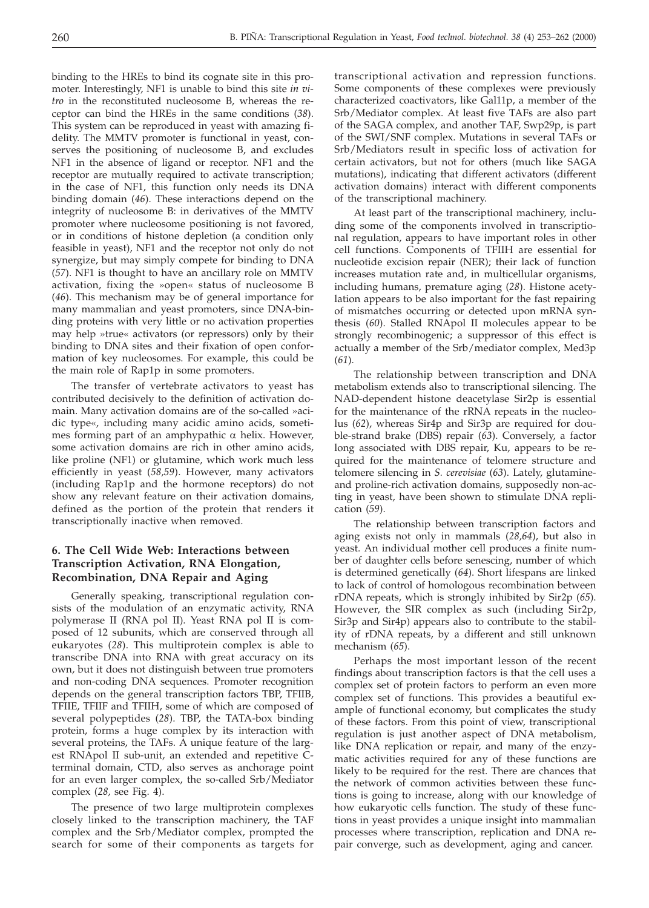binding to the HREs to bind its cognate site in this promoter. Interestingly, NF1 is unable to bind this site *in vitro* in the reconstituted nucleosome B, whereas the receptor can bind the HREs in the same conditions (*38*). This system can be reproduced in yeast with amazing fidelity. The MMTV promoter is functional in yeast, conserves the positioning of nucleosome B, and excludes NF1 in the absence of ligand or receptor. NF1 and the receptor are mutually required to activate transcription; in the case of NF1, this function only needs its DNA binding domain (*46*). These interactions depend on the integrity of nucleosome B: in derivatives of the MMTV promoter where nucleosome positioning is not favored, or in conditions of histone depletion (a condition only feasible in yeast), NF1 and the receptor not only do not synergize, but may simply compete for binding to DNA (*57*). NF1 is thought to have an ancillary role on MMTV activation, fixing the »open« status of nucleosome B (*46*). This mechanism may be of general importance for many mammalian and yeast promoters, since DNA-binding proteins with very little or no activation properties may help »true« activators (or repressors) only by their binding to DNA sites and their fixation of open conformation of key nucleosomes. For example, this could be the main role of Rap1p in some promoters.

The transfer of vertebrate activators to yeast has contributed decisively to the definition of activation domain. Many activation domains are of the so-called »acidic type«, including many acidic amino acids, sometimes forming part of an amphypathic  $\alpha$  helix. However, some activation domains are rich in other amino acids, like proline (NF1) or glutamine, which work much less efficiently in yeast (*58,59*). However, many activators (including Rap1p and the hormone receptors) do not show any relevant feature on their activation domains, defined as the portion of the protein that renders it transcriptionally inactive when removed.

# **6. The Cell Wide Web: Interactions between Transcription Activation, RNA Elongation, Recombination, DNA Repair and Aging**

Generally speaking, transcriptional regulation consists of the modulation of an enzymatic activity, RNA polymerase II (RNA pol II). Yeast RNA pol II is composed of 12 subunits, which are conserved through all eukaryotes (*28*). This multiprotein complex is able to transcribe DNA into RNA with great accuracy on its own, but it does not distinguish between true promoters and non-coding DNA sequences. Promoter recognition depends on the general transcription factors TBP, TFIIB, TFIIE, TFIIF and TFIIH, some of which are composed of several polypeptides (*28*). TBP, the TATA-box binding protein, forms a huge complex by its interaction with several proteins, the TAFs. A unique feature of the largest RNApol II sub-unit, an extended and repetitive Cterminal domain, CTD, also serves as anchorage point for an even larger complex, the so-called Srb/Mediator complex (*28,* see Fig. 4).

The presence of two large multiprotein complexes closely linked to the transcription machinery, the TAF complex and the Srb/Mediator complex, prompted the search for some of their components as targets for

transcriptional activation and repression functions. Some components of these complexes were previously characterized coactivators, like Gal11p, a member of the Srb/Mediator complex. At least five TAFs are also part of the SAGA complex, and another TAF, Swp29p, is part of the SWI/SNF complex. Mutations in several TAFs or Srb/Mediators result in specific loss of activation for certain activators, but not for others (much like SAGA mutations), indicating that different activators (different activation domains) interact with different components of the transcriptional machinery.

At least part of the transcriptional machinery, including some of the components involved in transcriptional regulation, appears to have important roles in other cell functions. Components of TFIIH are essential for nucleotide excision repair (NER); their lack of function increases mutation rate and, in multicellular organisms, including humans, premature aging (*28*). Histone acetylation appears to be also important for the fast repairing of mismatches occurring or detected upon mRNA synthesis (*60*). Stalled RNApol II molecules appear to be strongly recombinogenic; a suppressor of this effect is actually a member of the Srb/mediator complex, Med3p (*61*).

The relationship between transcription and DNA metabolism extends also to transcriptional silencing. The NAD-dependent histone deacetylase Sir2p is essential for the maintenance of the rRNA repeats in the nucleolus (*62*), whereas Sir4p and Sir3p are required for double-strand brake (DBS) repair (*63*). Conversely, a factor long associated with DBS repair, Ku, appears to be required for the maintenance of telomere structure and telomere silencing in *S. cerevisiae* (*63*). Lately, glutamineand proline-rich activation domains, supposedly non-acting in yeast, have been shown to stimulate DNA replication (*59*).

The relationship between transcription factors and aging exists not only in mammals (*28,64*), but also in yeast. An individual mother cell produces a finite number of daughter cells before senescing, number of which is determined genetically (*64*). Short lifespans are linked to lack of control of homologous recombination between rDNA repeats, which is strongly inhibited by Sir2p (*65*). However, the SIR complex as such (including Sir2p, Sir3p and Sir4p) appears also to contribute to the stability of rDNA repeats, by a different and still unknown mechanism (*65*).

Perhaps the most important lesson of the recent findings about transcription factors is that the cell uses a complex set of protein factors to perform an even more complex set of functions. This provides a beautiful example of functional economy, but complicates the study of these factors. From this point of view, transcriptional regulation is just another aspect of DNA metabolism, like DNA replication or repair, and many of the enzymatic activities required for any of these functions are likely to be required for the rest. There are chances that the network of common activities between these functions is going to increase, along with our knowledge of how eukaryotic cells function. The study of these functions in yeast provides a unique insight into mammalian processes where transcription, replication and DNA repair converge, such as development, aging and cancer.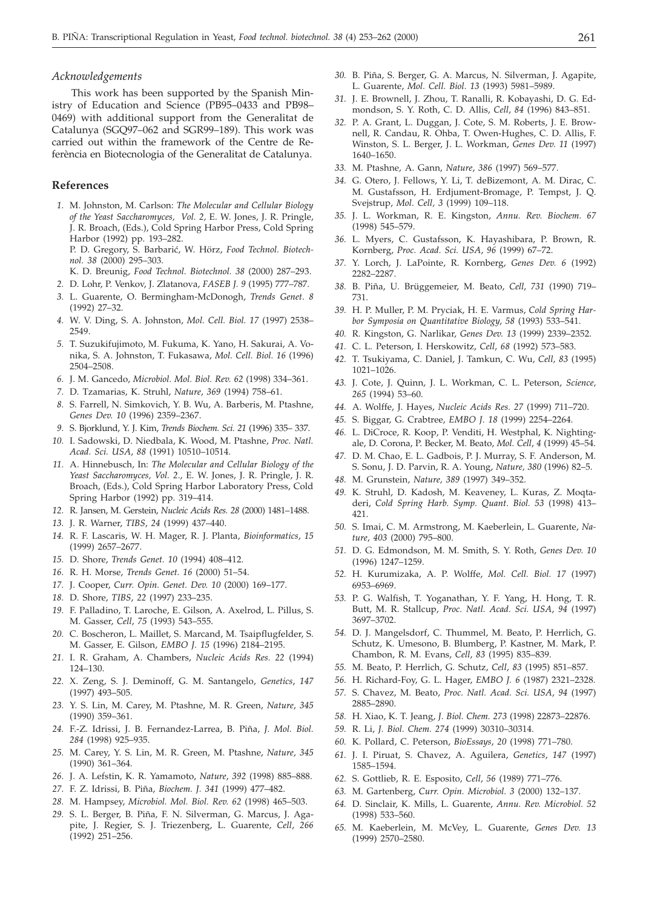### *Acknowledgements*

This work has been supported by the Spanish Ministry of Education and Science (PB95–0433 and PB98– 0469) with additional support from the Generalitat de Catalunya (SGQ97–062 and SGR99–189). This work was carried out within the framework of the Centre de Referència en Biotecnologia of the Generalitat de Catalunya.

## **References**

- *1.* M. Johnston, M. Carlson: *The Molecular and Cellular Biology of the Yeast Saccharomyces, Vol. 2,* E. W. Jones, J. R. Pringle, J. R. Broach, (Eds.), Cold Spring Harbor Press, Cold Spring Harbor (1992) pp. 193–282. P. D. Gregory, S. Barbarić, W. Hörz, Food Technol. Biotech
	- *nol. 38* (2000) 295–303. K. D. Breunig, *Food Technol. Biotechnol. 38* (2000) 287–293.
- *2.* D. Lohr, P. Venkov, J. Zlatanova, *FASEB J. 9* (1995) 777–787.
- *3.* L. Guarente, O. Bermingham-McDonogh, *Trends Genet*. *8* (1992) 27–32.
- *4.* W. V. Ding, S. A. Johnston, *Mol. Cell. Biol. 17* (1997) 2538– 2549.
- *5.* T. Suzukifujimoto, M. Fukuma, K. Yano, H. Sakurai, A. Vonika, S. A. Johnston, T. Fukasawa, *Mol. Cell. Biol. 16* (1996) 2504–2508.
- *6.* J. M. Gancedo, *Microbiol. Mol. Biol. Rev. 62* (1998) 334–361.
- *7.* D. Tzamarias, K. Struhl, *Nature*, *369* (1994) 758–61.
- *8.* S. Farrell, N. Simkovich, Y. B. Wu, A. Barberis, M. Ptashne, *Genes Dev. 10* (1996) 2359–2367.
- *9.* S. Bjorklund, Y. J. Kim, *Trends Biochem. Sci. 21* (1996) 335– 337.
- *10.* I. Sadowski, D. Niedbala, K. Wood, M. Ptashne, *Proc. Natl. Acad. Sci. USA*, *88* (1991) 10510–10514.
- *11.* A. Hinnebusch, In: *The Molecular and Cellular Biology of the Yeast Saccharomyces, Vol. 2*., E. W. Jones, J. R. Pringle, J. R. Broach, (Eds.), Cold Spring Harbor Laboratory Press, Cold Spring Harbor (1992) pp. 319–414.
- *12.* R. Jansen, M. Gerstein, *Nucleic Acids Res. 28* (2000) 1481–1488.
- *13.* J. R. Warner, *TIBS*, *24* (1999) 437–440.
- *14.* R. F. Lascaris, W. H. Mager, R. J. Planta, *Bioinformatics*, *15* (1999) 2657–2677.
- *15.* D. Shore, *Trends Genet. 10* (1994) 408–412.
- *16.* R. H. Morse, *Trends Genet. 16* (2000) 51–54.
- *17.* J. Cooper, *Curr. Opin. Genet. Dev. 10* (2000) 169–177.
- *18.* D. Shore, *TIBS*, *22* (1997) 233–235.
- *19.* F. Palladino, T. Laroche, E. Gilson, A. Axelrod, L. Pillus, S. M. Gasser, *Cell*, *75* (1993) 543–555.
- *20.* C. Boscheron, L. Maillet, S. Marcand, M. Tsaipflugfelder, S. M. Gasser, E. Gilson, *EMBO J. 15* (1996) 2184–2195.
- *21.* I. R. Graham, A. Chambers, *Nucleic Acids Res. 22* (1994) 124–130.
- *22.* X. Zeng, S. J. Deminoff, G. M. Santangelo, *Genetics*, *147* (1997) 493–505.
- *23.* Y. S. Lin, M. Carey, M. Ptashne, M. R. Green, *Nature*, *345* (1990) 359–361.
- *24.* F.-Z. Idrissi, J. B. Fernandez-Larrea, B. Piña, *J. Mol. Biol. 284* (1998) 925–935.
- *25.* M. Carey, Y. S. Lin, M. R. Green, M. Ptashne, *Nature*, *345* (1990) 361–364.
- *26.* J. A. Lefstin, K. R. Yamamoto, *Nature*, *392* (1998) 885–888.
- *27.* F. Z. Idrissi, B. Piña, *Biochem. J. 341* (1999) 477–482.
- *28.* M. Hampsey, *Microbiol. Mol. Biol. Rev. 62* (1998) 465–503.
- *29.* S. L. Berger, B. Piña, F. N. Silverman, G. Marcus, J. Agapite, J. Regier, S. J. Triezenberg, L. Guarente, *Cell*, *266* (1992) 251–256.
- *30.* B. Piña, S. Berger, G. A. Marcus, N. Silverman, J. Agapite, L. Guarente, *Mol. Cell. Biol. 13* (1993) 5981–5989.
- *31.* J. E. Brownell, J. Zhou, T. Ranalli, R. Kobayashi, D. G. Edmondson, S. Y. Roth, C. D. Allis, *Cell*, *84* (1996) 843–851.
- *32.* P. A. Grant, L. Duggan, J. Cote, S. M. Roberts, J. E. Brownell, R. Candau, R. Ohba, T. Owen-Hughes, C. D. Allis, F. Winston, S. L. Berger, J. L. Workman, *Genes Dev. 11* (1997) 1640–1650.
- *33.* M. Ptashne, A. Gann, *Nature*, *386* (1997) 569–577.
- *34.* G. Otero, J. Fellows, Y. Li, T. deBizemont, A. M. Dirac, C. M. Gustafsson, H. Erdjument-Bromage, P. Tempst, J. Q. Svejstrup, *Mol. Cell, 3* (1999) 109–118.
- *35.* J. L. Workman, R. E. Kingston, *Annu. Rev. Biochem. 67* (1998) 545–579.
- *36.* L. Myers, C. Gustafsson, K. Hayashibara, P. Brown, R. Kornberg, *Proc. Acad. Sci. USA*, *96* (1999) 67–72.
- *37.* Y. Lorch, J. LaPointe, R. Kornberg, *Genes Dev. 6* (1992) 2282–2287.
- *38.* B. Piña, U. Brüggemeier, M. Beato, *Cell*, *731* (1990) 719– 731.
- *39.* H. P. Muller, P. M. Pryciak, H. E. Varmus, *Cold Spring Harbor Symposia on Quantitative Biology*, *58* (1993) 533–541.
- *40.* R. Kingston, G. Narlikar, *Genes Dev. 13* (1999) 2339–2352.
- *41.* C. L. Peterson, I. Herskowitz, *Cell*, *68* (1992) 573–583.
- *42.* T. Tsukiyama, C. Daniel, J. Tamkun, C. Wu, *Cell, 83* (1995) 1021–1026.
- *43.* J. Cote, J. Quinn, J. L. Workman, C. L. Peterson, *Science, 265* (1994) 53–60.
- *44.* A. Wolffe, J. Hayes, *Nucleic Acids Res. 27* (1999) 711–720.
- *45.* S. Biggar, G. Crabtree, *EMBO J. 18* (1999) 2254–2264.
- *46.* L. DiCroce, R. Koop, P. Venditi, H. Westphal, K. Nightingale, D. Corona, P. Becker, M. Beato, *Mol. Cell*, *4* (1999) 45–54.
- *47.* D. M. Chao, E. L. Gadbois, P. J. Murray, S. F. Anderson, M. S. Sonu, J. D. Parvin, R. A. Young, *Nature, 380* (1996) 82–5.
- *48.* M. Grunstein, *Nature, 389* (1997) 349–352.
- *49.* K. Struhl, D. Kadosh, M. Keaveney, L. Kuras, Z. Moqtaderi, *Cold Spring Harb. Symp. Quant. Biol. 53* (1998) 413– 421.
- *50.* S. Imai, C. M. Armstrong, M. Kaeberlein, L. Guarente, *Nature*, *403* (2000) 795–800.
- *51.* D. G. Edmondson, M. M. Smith, S. Y. Roth, *Genes Dev. 10* (1996) 1247–1259.
- *52.* H. Kurumizaka, A. P. Wolffe, *Mol. Cell. Biol. 17* (1997) 6953–6969.
- *53.* P. G. Walfish, T. Yoganathan, Y. F. Yang, H. Hong, T. R. Butt, M. R. Stallcup, *Proc. Natl. Acad. Sci. USA*, *94* (1997) 3697–3702.
- *54.* D. J. Mangelsdorf, C. Thummel, M. Beato, P. Herrlich, G. Schutz, K. Umesono, B. Blumberg, P. Kastner, M. Mark, P. Chambon, R. M. Evans, *Cell*, *83* (1995) 835–839.
- *55.* M. Beato, P. Herrlich, G. Schutz, *Cell*, *83* (1995) 851–857.
- *56.* H. Richard-Foy, G. L. Hager, *EMBO J. 6* (1987) 2321–2328.
- *57.* S. Chavez, M. Beato, *Proc. Natl. Acad. Sci. USA*, *94* (1997) 2885–2890.
- *58.* H. Xiao, K. T. Jeang, *J. Biol. Chem. 273* (1998) 22873–22876.
- *59.* R. Li, *J. Biol. Chem. 274* (1999) 30310–30314.
- *60.* K. Pollard, C. Peterson, *BioEssays*, *20* (1998) 771–780.
- *61.* J. I. Piruat, S. Chavez, A. Aguilera, *Genetics*, *147* (1997) 1585–1594.
- *62.* S. Gottlieb, R. E. Esposito, *Cell*, *56* (1989) 771–776.
- *63.* M. Gartenberg, *Curr. Opin. Microbiol. 3* (2000) 132–137.
- *64.* D. Sinclair, K. Mills, L. Guarente, *Annu. Rev. Microbiol. 52* (1998) 533–560.
- *65.* M. Kaeberlein, M. McVey, L. Guarente, *Genes Dev. 13* (1999) 2570–2580.